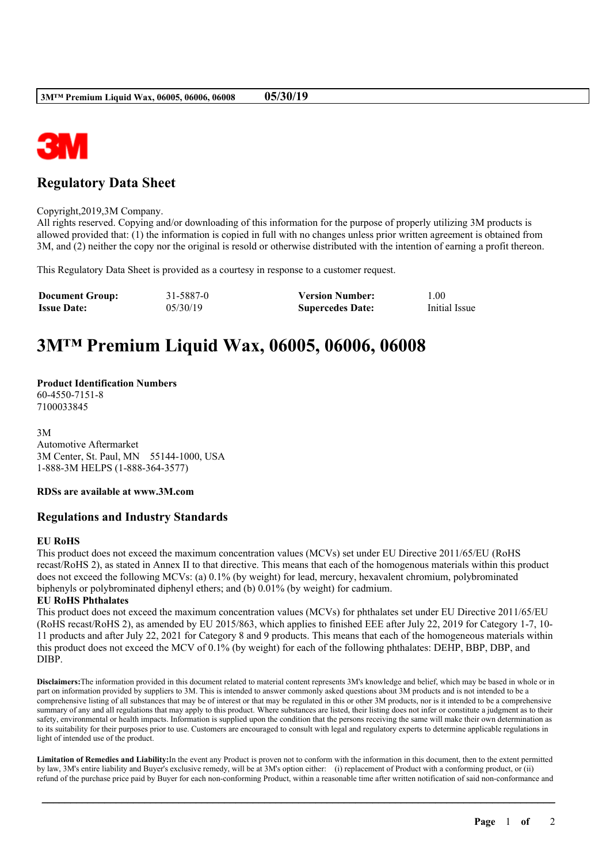

## **Regulatory Data Sheet**

Copyright,2019,3M Company.

All rights reserved. Copying and/or downloading of this information for the purpose of properly utilizing 3M products is allowed provided that: (1) the information is copied in full with no changes unless prior written agreement is obtained from 3M, and (2) neither the copy nor the original is resold or otherwise distributed with the intention of earning a profit thereon.

This Regulatory Data Sheet is provided as a courtesy in response to a customer request.

| <b>Document Group:</b> | 31-5887-0 | <b>Version Number:</b>  | 00.1          |
|------------------------|-----------|-------------------------|---------------|
| <b>Issue Date:</b>     | 05/30/19  | <b>Supercedes Date:</b> | Initial Issue |

# **3M™ Premium Liquid Wax, 06005, 06006, 06008**

**Product Identification Numbers** 60-4550-7151-8 7100033845

3M Automotive Aftermarket 3M Center, St. Paul, MN 55144-1000, USA 1-888-3M HELPS (1-888-364-3577)

**RDSs are available at www.3M.com**

#### **Regulations and Industry Standards**

#### **EU RoHS**

This product does not exceed the maximum concentration values (MCVs) set under EU Directive 2011/65/EU (RoHS recast/RoHS 2), as stated in Annex II to that directive. This means that each of the homogenous materials within this product does not exceed the following MCVs: (a) 0.1% (by weight) for lead, mercury, hexavalent chromium, polybrominated biphenyls or polybrominated diphenyl ethers; and (b) 0.01% (by weight) for cadmium.

#### **EU RoHS Phthalates**

This product does not exceed the maximum concentration values (MCVs) for phthalates set under EU Directive 2011/65/EU (RoHS recast/RoHS 2), as amended by EU 2015/863, which applies to finished EEE after July 22, 2019 for Category 1-7, 10- 11 products and after July 22, 2021 for Category 8 and 9 products. This means that each of the homogeneous materials within this product does not exceed the MCV of 0.1% (by weight) for each of the following phthalates: DEHP, BBP, DBP, and DIBP.

**Disclaimers:**The information provided in this document related to material content represents 3M's knowledge and belief, which may be based in whole or in part on information provided by suppliers to 3M. This is intended to answer commonly asked questions about 3M products and is not intended to be a comprehensive listing of all substances that may be of interest or that may be regulated in this or other 3M products, nor is it intended to be a comprehensive summary of any and all regulations that may apply to this product. Where substances are listed, their listing does not infer or constitute a judgment as to their safety, environmental or health impacts. Information is supplied upon the condition that the persons receiving the same will make their own determination as to its suitability for their purposes prior to use. Customers are encouraged to consult with legal and regulatory experts to determine applicable regulations in light of intended use of the product.

**Limitation of Remedies and Liability:**In the event any Product is proven not to conform with the information in this document, then to the extent permitted by law, 3M's entire liability and Buyer's exclusive remedy, will be at 3M's option either: (i) replacement of Product with a conforming product, or (ii) refund of the purchase price paid by Buyer for each non-conforming Product, within a reasonable time after written notification of said non-conformance and

\_\_\_\_\_\_\_\_\_\_\_\_\_\_\_\_\_\_\_\_\_\_\_\_\_\_\_\_\_\_\_\_\_\_\_\_\_\_\_\_\_\_\_\_\_\_\_\_\_\_\_\_\_\_\_\_\_\_\_\_\_\_\_\_\_\_\_\_\_\_\_\_\_\_\_\_\_\_\_\_\_\_\_\_\_\_\_\_\_\_